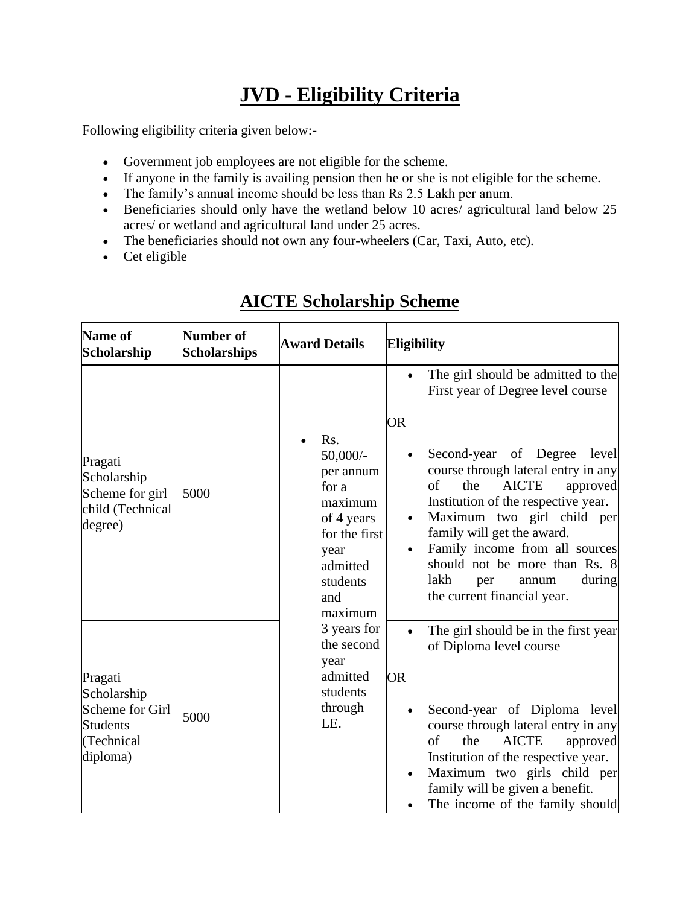# **JVD - Eligibility Criteria**

Following eligibility criteria given below:-

- Government job employees are not eligible for the scheme.
- If anyone in the family is availing pension then he or she is not eligible for the scheme.
- The family's annual income should be less than Rs 2.5 Lakh per anum.
- Beneficiaries should only have the wetland below 10 acres/ agricultural land below 25 acres/ or wetland and agricultural land under 25 acres.
- The beneficiaries should not own any four-wheelers (Car, Taxi, Auto, etc).
- Cet eligible

| Name of<br>Scholarship                                                                 | <b>Number of</b><br><b>Scholarships</b> | <b>Award Details</b>                                                                                                                                                                                                | <b>Eligibility</b>                                                                                                                                                                                                                                                                                                                                                                                                                                         |  |
|----------------------------------------------------------------------------------------|-----------------------------------------|---------------------------------------------------------------------------------------------------------------------------------------------------------------------------------------------------------------------|------------------------------------------------------------------------------------------------------------------------------------------------------------------------------------------------------------------------------------------------------------------------------------------------------------------------------------------------------------------------------------------------------------------------------------------------------------|--|
| Pragati<br>Scholarship<br>Scheme for girl<br>child (Technical<br>degree)               | 5000                                    | Rs.<br>$50,000/$ -<br>per annum<br>for a<br>maximum<br>of 4 years<br>for the first<br>year<br>admitted<br>students<br>and<br>maximum<br>3 years for<br>the second<br>year<br>admitted<br>students<br>through<br>LE. | The girl should be admitted to the<br>First year of Degree level course<br><b>OR</b><br>Second-year of Degree<br>level<br>$\bullet$<br>course through lateral entry in any<br>of<br>the<br><b>AICTE</b><br>approved<br>Institution of the respective year.<br>Maximum two girl child per<br>family will get the award.<br>Family income from all sources<br>should not be more than Rs. 8<br>lakh<br>during<br>per<br>annum<br>the current financial year. |  |
| Pragati<br>Scholarship<br>Scheme for Girl<br><b>Students</b><br>(Technical<br>diploma) | 5000                                    |                                                                                                                                                                                                                     | The girl should be in the first year<br>$\bullet$<br>of Diploma level course<br><b>OR</b><br>Second-year of Diploma level<br>$\bullet$<br>course through lateral entry in any<br>of<br><b>AICTE</b><br>the<br>approved<br>Institution of the respective year.<br>Maximum two girls child per<br>family will be given a benefit.<br>The income of the family should                                                                                         |  |

# **AICTE Scholarship Scheme**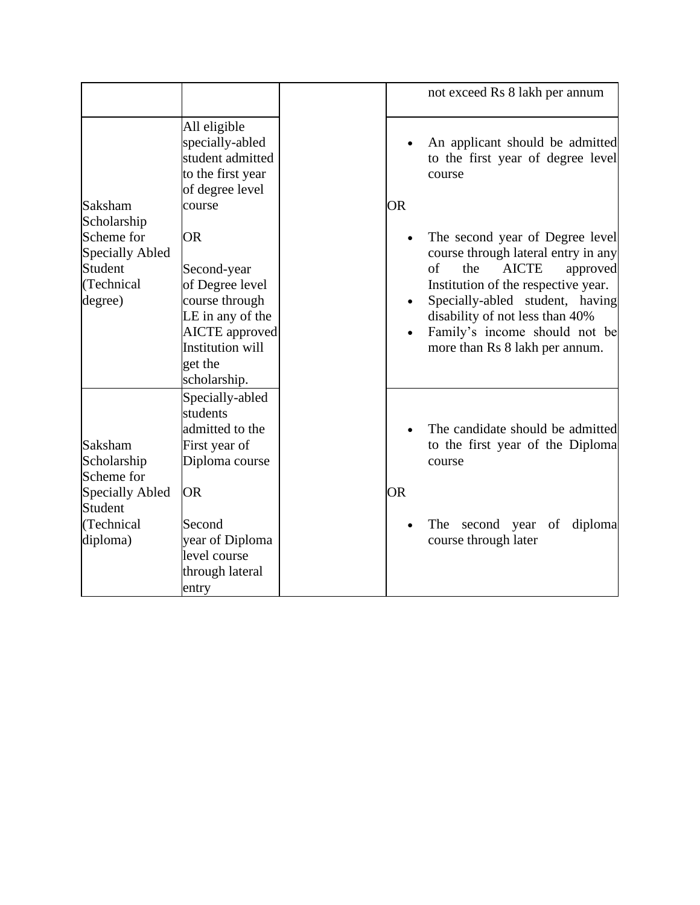|                                                                                              |                                                                                                                                                                  |           | not exceed Rs 8 lakh per annum                                                                                                                                                                                                                                                                  |
|----------------------------------------------------------------------------------------------|------------------------------------------------------------------------------------------------------------------------------------------------------------------|-----------|-------------------------------------------------------------------------------------------------------------------------------------------------------------------------------------------------------------------------------------------------------------------------------------------------|
| Saksham                                                                                      | All eligible<br>specially-abled<br>student admitted<br>to the first year<br>of degree level<br>course                                                            | <b>OR</b> | An applicant should be admitted<br>to the first year of degree level<br>course                                                                                                                                                                                                                  |
| Scholarship<br>Scheme for<br><b>Specially Abled</b><br>Student<br>(Technical<br>degree)      | <b>OR</b><br>Second-year<br>of Degree level<br>course through<br>LE in any of the<br><b>AICTE</b> approved<br><b>Institution will</b><br>get the<br>scholarship. |           | The second year of Degree level<br>course through lateral entry in any<br><b>AICTE</b><br>of<br>the<br>approved<br>Institution of the respective year.<br>Specially-abled student, having<br>disability of not less than 40%<br>Family's income should not be<br>more than Rs 8 lakh per annum. |
| Saksham<br>Scholarship<br>Scheme for<br>Specially Abled<br>Student<br>(Technical<br>diploma) | Specially-abled<br>students<br>admitted to the<br>First year of<br>Diploma course<br><b>OR</b><br>Second<br>year of Diploma                                      | <b>OR</b> | The candidate should be admitted<br>to the first year of the Diploma<br>course<br>second year<br>diploma<br>The<br>of<br>course through later                                                                                                                                                   |
|                                                                                              | level course<br>through lateral<br>entry                                                                                                                         |           |                                                                                                                                                                                                                                                                                                 |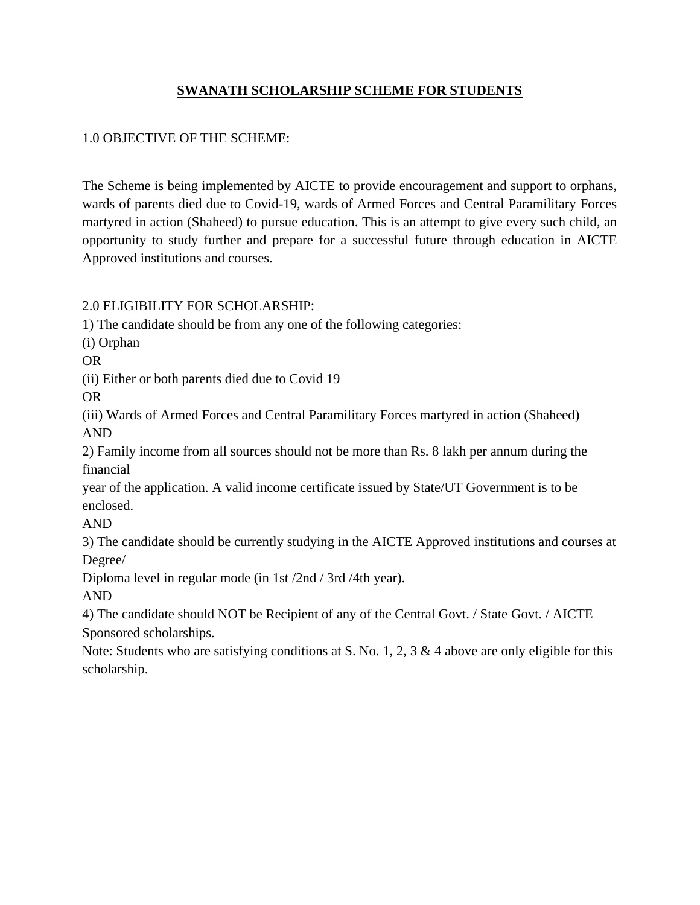#### **SWANATH SCHOLARSHIP SCHEME FOR STUDENTS**

#### 1.0 OBJECTIVE OF THE SCHEME:

The Scheme is being implemented by AICTE to provide encouragement and support to orphans, wards of parents died due to Covid-19, wards of Armed Forces and Central Paramilitary Forces martyred in action (Shaheed) to pursue education. This is an attempt to give every such child, an opportunity to study further and prepare for a successful future through education in AICTE Approved institutions and courses.

2.0 ELIGIBILITY FOR SCHOLARSHIP:

1) The candidate should be from any one of the following categories:

(i) Orphan

OR

(ii) Either or both parents died due to Covid 19

OR

(iii) Wards of Armed Forces and Central Paramilitary Forces martyred in action (Shaheed) AND

2) Family income from all sources should not be more than Rs. 8 lakh per annum during the financial

year of the application. A valid income certificate issued by State/UT Government is to be enclosed.

AND

3) The candidate should be currently studying in the AICTE Approved institutions and courses at Degree/

Diploma level in regular mode (in 1st /2nd / 3rd /4th year).

AND

4) The candidate should NOT be Recipient of any of the Central Govt. / State Govt. / AICTE Sponsored scholarships.

Note: Students who are satisfying conditions at S. No. 1, 2, 3 & 4 above are only eligible for this scholarship.